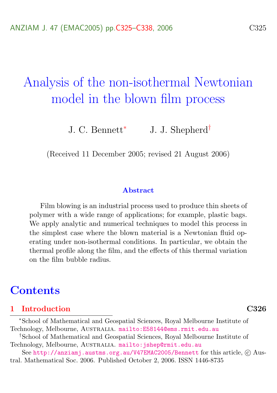# Analysis of the non-isothermal Newtonian model in the blown film process

J. C. Bennett<sup>∗</sup> J. J. Shepherd†

(Received 11 December 2005; revised 21 August 2006)

#### Abstract

Film blowing is an industrial process used to produce thin sheets of polymer with a wide range of applications; for example, plastic bags. We apply analytic and numerical techniques to model this process in the simplest case where the blown material is a Newtonian fluid operating under non-isothermal conditions. In particular, we obtain the thermal profile along the film, and the effects of this thermal variation on the film bubble radius.

## **Contents**

## [1 Introduction](#page-1-0) C326

<sup>∗</sup>School of Mathematical and Geospatial Sciences, Royal Melbourne Institute of Technology, Melbourne, Australia. <mailto:E58144@ems.rmit.edu.au>

†School of Mathematical and Geospatial Sciences, Royal Melbourne Institute of Technology, Melbourne, AUSTRALIA. mailto: jshep@rmit.edu.au

See <http://anziamj.austms.org.au/V47EMAC2005/Bennett> for this article, C Austral. Mathematical Soc. 2006. Published October 2, 2006. ISSN 1446-8735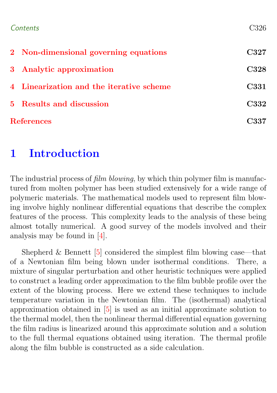<span id="page-1-1"></span>

| Contents          |                                          | C326 |
|-------------------|------------------------------------------|------|
|                   | 2 Non-dimensional governing equations    | C327 |
|                   | 3 Analytic approximation                 | C328 |
|                   | 4 Linearization and the iterative scheme | C331 |
|                   | 5 Results and discussion                 | C332 |
| <b>References</b> |                                          | C337 |

## <span id="page-1-0"></span>1 Introduction

The industrial process of *film blowing*, by which thin polymer film is manufactured from molten polymer has been studied extensively for a wide range of polymeric materials. The mathematical models used to represent film blowing involve highly nonlinear differential equations that describe the complex features of the process. This complexity leads to the analysis of these being almost totally numerical. A good survey of the models involved and their analysis may be found in [\[4\]](#page-12-1).

Shepherd & Bennett  $[5]$  considered the simplest film blowing case—that of a Newtonian film being blown under isothermal conditions. There, a mixture of singular perturbation and other heuristic techniques were applied to construct a leading order approximation to the film bubble profile over the extent of the blowing process. Here we extend these techniques to include temperature variation in the Newtonian film. The (isothermal) analytical approximation obtained in [\[5\]](#page-12-2) is used as an initial approximate solution to the thermal model, then the nonlinear thermal differential equation governing the film radius is linearized around this approximate solution and a solution to the full thermal equations obtained using iteration. The thermal profile along the film bubble is constructed as a side calculation.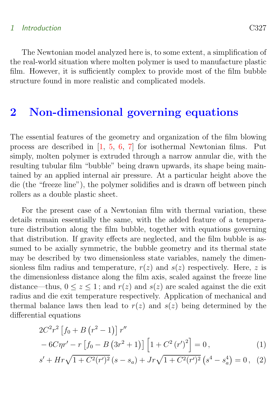### <span id="page-2-2"></span>1 Introduction C327

The Newtonian model analyzed here is, to some extent, a simplification of the real-world situation where molten polymer is used to manufacture plastic film. However, it is sufficiently complex to provide most of the film bubble structure found in more realistic and complicated models.

## <span id="page-2-0"></span>2 Non-dimensional governing equations

The essential features of the geometry and organization of the film blowing process are described in [\[1,](#page-12-3) [5,](#page-12-2) [6,](#page-12-4) [7\]](#page-13-0) for isothermal Newtonian films. Put simply, molten polymer is extruded through a narrow annular die, with the resulting tubular film "bubble" being drawn upwards, its shape being maintained by an applied internal air pressure. At a particular height above the die (the "freeze line"), the polymer solidifies and is drawn off between pinch rollers as a double plastic sheet.

For the present case of a Newtonian film with thermal variation, these details remain essentially the same, with the added feature of a temperature distribution along the film bubble, together with equations governing that distribution. If gravity effects are neglected, and the film bubble is assumed to be axially symmetric, the bubble geometry and its thermal state may be described by two dimensionless state variables, namely the dimensionless film radius and temperature,  $r(z)$  and  $s(z)$  respectively. Here, z is the dimensionless distance along the film axis, scaled against the freeze line distance—thus,  $0 \le z \le 1$ ; and  $r(z)$  and  $s(z)$  are scaled against the die exit radius and die exit temperature respectively. Application of mechanical and thermal balance laws then lead to  $r(z)$  and  $s(z)$  being determined by the differential equations

<span id="page-2-1"></span>
$$
2C^{2}r^{2}\left[f_{0}+B(r^{2}-1)\right]r''
$$
  
-6C\eta r'-r\left[f\_{0}-B(3r^{2}+1)\right]\left[1+C^{2}(r')^{2}\right]=0, (1)

$$
s' + Hr\sqrt{1 + C^2(r')^2} (s - s_a) + Jr\sqrt{1 + C^2(r')^2} (s^4 - s_a^4) = 0, \quad (2)
$$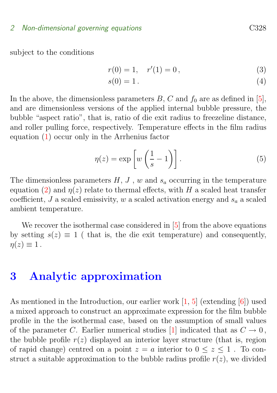#### <span id="page-3-2"></span>2 Non-dimensional governing equations C328

subject to the conditions

$$
r(0) = 1, \quad r'(1) = 0,
$$
\n(3)

<span id="page-3-1"></span>
$$
s(0) = 1.
$$
\n<sup>(4)</sup>

In the above, the dimensionless parameters  $B, C$  and  $f_0$  are as defined in [\[5\]](#page-12-2), and are dimensionless versions of the applied internal bubble pressure, the bubble "aspect ratio", that is, ratio of die exit radius to freezeline distance, and roller pulling force, respectively. Temperature effects in the film radius equation [\(1\)](#page-2-1) occur only in the Arrhenius factor

$$
\eta(z) = \exp\left[w\left(\frac{1}{s} - 1\right)\right].\tag{5}
$$

The dimensionless parameters  $H, J, w$  and  $s_a$  occurring in the temperature equation [\(2\)](#page-2-1) and  $\eta(z)$  relate to thermal effects, with H a scaled heat transfer coefficient, J a scaled emissivity, w a scaled activation energy and  $s_a$  a scaled ambient temperature.

We recover the isothermal case considered in [\[5\]](#page-12-2) from the above equations by setting  $s(z) \equiv 1$  ( that is, the die exit temperature) and consequently,  $\eta(z) \equiv 1$ .

## <span id="page-3-0"></span>3 Analytic approximation

As mentioned in the Introduction, our earlier work [\[1,](#page-12-3) [5\]](#page-12-2) (extending [\[6\]](#page-12-4)) used a mixed approach to construct an approximate expression for the film bubble profile in the the isothermal case, based on the assumption of small values of the parameter C. Earlier numerical studies [\[1\]](#page-12-3) indicated that as  $C \to 0$ , the bubble profile  $r(z)$  displayed an interior layer structure (that is, region of rapid change) centred on a point  $z = a$  interior to  $0 \le z \le 1$ . To construct a suitable approximation to the bubble radius profile  $r(z)$ , we divided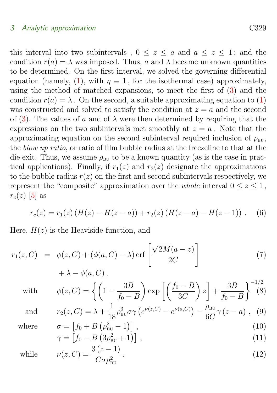#### <span id="page-4-0"></span>3 Analytic approximation C329

this interval into two subintervals,  $0 \leq z \leq a$  and  $a \leq z \leq 1$ ; and the condition  $r(a) = \lambda$  was imposed. Thus, a and  $\lambda$  became unknown quantities to be determined. On the first interval, we solved the governing differential equation (namely, [\(1\)](#page-2-1), with  $\eta \equiv 1$ , for the isothermal case) approximately, using the method of matched expansions, to meet the first of [\(3\)](#page-3-1) and the condition  $r(a) = \lambda$ . On the second, a suitable approximating equation to [\(1\)](#page-2-1) was constructed and solved to satisfy the condition at  $z = a$  and the second of [\(3\)](#page-3-1). The values of a and of  $\lambda$  were then determined by requiring that the expressions on the two subintervals met smoothly at  $z = a$ . Note that the approximating equation on the second subinterval required inclusion of  $\rho_{\text{BL}}$ , the blow up ratio, or ratio of film bubble radius at the freezeline to that at the die exit. Thus, we assume  $\rho_{\text{BU}}$  to be a known quantity (as is the case in practical applications). Finally, if  $r_1(z)$  and  $r_2(z)$  designate the approximations to the bubble radius  $r(z)$  on the first and second subintervals respectively, we represent the "composite" approximation over the *whole* interval  $0 \leq z \leq 1$ ,  $r_c(z)$  [\[5\]](#page-12-2) as

$$
r_c(z) = r_1(z) (H(z) - H(z - a)) + r_2(z) (H(z - a) - H(z - 1)) .
$$
 (6)

Here,  $H(z)$  is the Heaviside function, and

$$
r_1(z, C) = \phi(z, C) + (\phi(a, C) - \lambda) \operatorname{erf}\left[\frac{\sqrt{2M}(a - z)}{2C}\right]
$$
\n
$$
+ \lambda - \phi(a, C) \tag{7}
$$

$$
+\lambda-\phi(a,C)\,,
$$

with 
$$
\phi(z, C) = \left\{ \left( 1 - \frac{3B}{f_0 - B} \right) \exp \left[ \left( \frac{f_0 - B}{3C} \right) z \right] + \frac{3B}{f_0 - B} \right\}^{-1/2} (8)
$$

and 
$$
r_2(z, C) = \lambda + \frac{1}{18} \rho_{\text{BU}}^3 \sigma \gamma \left( e^{\nu(z, C)} - e^{\nu(a, C)} \right) - \frac{\rho_{\text{BU}}}{6C} \gamma (z - a) ,
$$
 (9)

where

$$
\sigma = \left[ f_0 + B \left( \rho_{\text{BU}}^2 - 1 \right) \right],\tag{10}
$$
\n
$$
\gamma = \left[ f_0 - B \left( 3 \rho_{\text{BU}}^2 + 1 \right) \right],\tag{11}
$$

$$
= \left[f_0 - B\left(3\rho_{\text{BU}}^2 + 1\right)\right],\tag{11}
$$

while 
$$
\nu(z, C) = \frac{3(z-1)}{C\sigma \rho_{\text{BU}}^2}.
$$
 (12)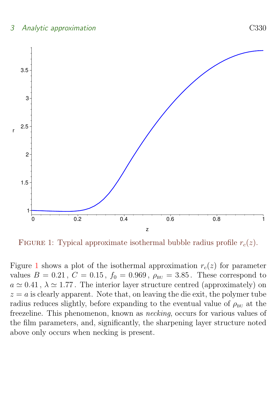## 3 Analytic approximation C330



<span id="page-5-1"></span>FIGURE 1: Typical approximate isothermal bubble radius profile  $r_c(z)$ .

<span id="page-5-0"></span>Figure [1](#page-5-1) shows a plot of the isothermal approximation  $r_c(z)$  for parameter values  $B = 0.21$ ,  $C = 0.15$ ,  $f_0 = 0.969$ ,  $\rho_{\text{BU}} = 3.85$ . These correspond to  $a \simeq 0.41$ ,  $\lambda \simeq 1.77$ . The interior layer structure centred (approximately) on  $z = a$  is clearly apparent. Note that, on leaving the die exit, the polymer tube radius reduces slightly, before expanding to the eventual value of  $\rho_{\text{BU}}$  at the freezeline. This phenomenon, known as necking, occurs for various values of the film parameters, and, significantly, the sharpening layer structure noted above only occurs when necking is present.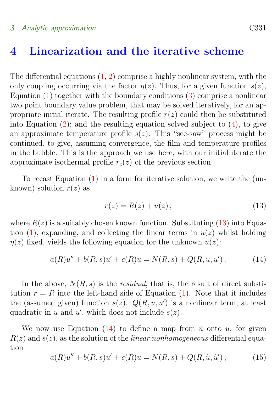### 3 Analytic approximation C331

## 4 Linearization and the iterative scheme

The differential equations  $(1, 2)$  $(1, 2)$  $(1, 2)$  comprise a highly nonlinear system, with the only coupling occurring via the factor  $\eta(z)$ . Thus, for a given function  $s(z)$ , Equation  $(1)$  together with the boundary conditions  $(3)$  comprise a nonlinear two point boundary value problem, that may be solved iteratively, for an appropriate initial iterate. The resulting profile  $r(z)$  could then be substituted into Equation  $(2)$ ; and the resulting equation solved subject to  $(4)$ , to give an approximate temperature profile  $s(z)$ . This "see-saw" process might be continued, to give, assuming convergence, the film and temperature profiles in the bubble. This is the approach we use here, with our initial iterate the approximate isothermal profile  $r_c(z)$  of the previous section.

To recast Equation [\(1\)](#page-2-1) in a form for iterative solution, we write the (unknown) solution  $r(z)$  as

<span id="page-6-1"></span><span id="page-6-0"></span>
$$
r(z) = R(z) + u(z),
$$
\n(13)

where  $R(z)$  is a suitably chosen known function. Substituting [\(13\)](#page-6-0) into Equa-tion [\(1\)](#page-2-1), expanding, and collecting the linear terms in  $u(z)$  whilst holding  $\eta(z)$  fixed, yields the following equation for the unknown  $u(z)$ :

$$
a(R)u'' + b(R,s)u' + c(R)u = N(R,s) + Q(R,u,u').
$$
 (14)

In the above,  $N(R, s)$  is the *residual*, that is, the result of direct substitution  $r = R$  into the left-hand side of Equation [\(1\)](#page-2-1). Note that it includes the (assumed given) function  $s(z)$ .  $Q(R, u, u')$  is a nonlinear term, at least quadratic in u and  $u'$ , which does not include  $s(z)$ .

<span id="page-6-2"></span>We now use Equation [\(14\)](#page-6-1) to define a map from  $\tilde{u}$  onto u, for given  $R(z)$  and  $s(z)$ , as the solution of the *linear nonhomogeneous* differential equation

$$
a(R)u'' + b(R,s)u' + c(R)u = N(R,s) + Q(R,\tilde{u},\tilde{u}'),
$$
 (15)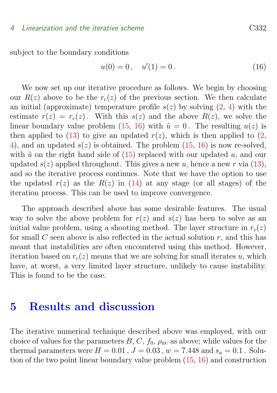#### 4 Linearization and the iterative scheme C332

subject to the boundary conditions

<span id="page-7-1"></span>
$$
u(0) = 0, \quad u'(1) = 0. \tag{16}
$$

We now set up our iterative procedure as follows. We begin by choosing our  $R(z)$  above to be the  $r_c(z)$  of the previous section. We then calculate an initial (approximate) temperature profile  $s(z)$  by solving  $(2, 4)$  $(2, 4)$  $(2, 4)$  with the estimate  $r(z) = r_c(z)$ . With this  $s(z)$  and the above  $R(z)$ , we solve the linear boundary value problem [\(15,](#page-6-2) [16\)](#page-7-1) with  $\tilde{u} = 0$ . The resulting  $u(z)$  is then applied to [\(13\)](#page-6-0) to give an updated  $r(z)$ , which is then applied to [\(2,](#page-2-1) [4\)](#page-3-1), and an updated  $s(z)$  is obtained. The problem  $(15, 16)$  $(15, 16)$  $(15, 16)$  is now re-solved, with  $\tilde{u}$  on the right hand side of [\(15\)](#page-6-2) replaced with our updated u, and our updated  $s(z)$  applied throughout. This gives a new u, hence a new r via [\(13\)](#page-6-0), and so the iterative process continues. Note that we have the option to use the updated  $r(z)$  as the  $R(z)$  in [\(14\)](#page-6-1) at any stage (or all stages) of the iteration process. This can be used to improve convergence.

The approach described above has some desirable features. The usual way to solve the above problem for  $r(z)$  and  $s(z)$  has been to solve as an initial value problem, using a shooting method. The layer structure in  $r_c(z)$ for small  $C$  seen above is also reflected in the actual solution  $r$ , and this has meant that instabilities are often encountered using this method. However, iteration based on  $r_c(z)$  means that we are solving for small iterates u, which have, at worst, a very limited layer structure, unlikely to cause instability. This is found to be the case.

## <span id="page-7-0"></span>5 Results and discussion

The iterative numerical technique described above was employed, with our choice of values for the parameters  $B, C, f_0, \rho_{\text{BH}}$  as above; while values for the thermal parameters were  $H = 0.01$ ,  $J = 0.03$ ,  $w = 7.448$  and  $s_a = 0.1$ . Solution of the two point linear boundary value problem [\(15,](#page-6-2) [16\)](#page-7-1) and construction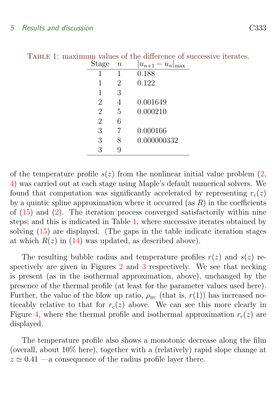<span id="page-8-0"></span>

| Stage          | $\it n$        | $- u_n$<br>$u_{n+1}$<br>max |
|----------------|----------------|-----------------------------|
|                | 1              | 0.188                       |
| 1              | $\overline{2}$ | 0.122                       |
| 1              | 3              |                             |
| $\overline{2}$ | 4              | 0.001649                    |
| $\overline{2}$ | 5              | 0.000210                    |
| $\overline{2}$ | 6              |                             |
| 3              | 7              | 0.000166                    |
| 3              | 8              | 0.000000332                 |
| 3              | 9              |                             |
|                |                |                             |

TABLE 1: maximum values of the difference of successive iterates.

of the temperature profile  $s(z)$  from the nonlinear initial value problem  $(2,$ [4\)](#page-3-1) was carried out at each stage using Maple's default numerical solvers. We found that computation was significantly accelerated by representing  $r_c(z)$ by a quintic spline approximation where it occurred (as  $R$ ) in the coefficients of [\(15\)](#page-6-2) and [\(2\)](#page-2-1). The iteration process converged satisfactorily within nine steps; and this is indicated in Table [1,](#page-8-0) where successive iterates obtained by solving [\(15\)](#page-6-2) are displayed. (The gaps in the table indicate iteration stages at which  $R(z)$  in [\(14\)](#page-6-1) was updated, as described above).

The resulting bubble radius and temperature profiles  $r(z)$  and  $s(z)$  respectively are given in Figures [2](#page-9-0) and [3](#page-10-0) respectively. We see that necking is present (as in the isothermal approximation, above), unchanged by the presence of the thermal profile (at least for the parameter values used here). Further, the value of the blow up ratio,  $\rho_{\text{BU}}$  (that is,  $r(1)$ ) has increased noticeably relative to that for  $r_c(z)$  above. We can see this more clearly in Figure [4,](#page-11-0) where the thermal profile and isothermal approximation  $r_c(z)$  are displayed.

The temperature profile also shows a monotonic decrease along the film (overall, about 10% here), together with a (relatively) rapid slope change at  $z \approx 0.41$  —a consequence of the radius profile layer there.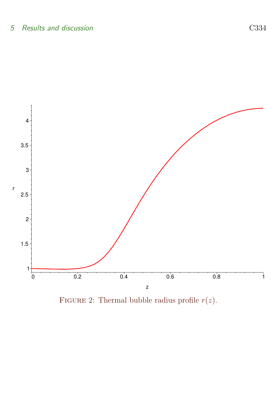

<span id="page-9-0"></span>FIGURE 2: Thermal bubble radius profile  $r(z)$ .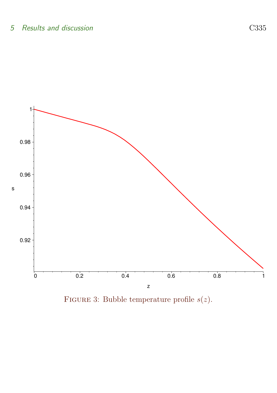

<span id="page-10-0"></span>FIGURE 3: Bubble temperature profile  $s(z)$ .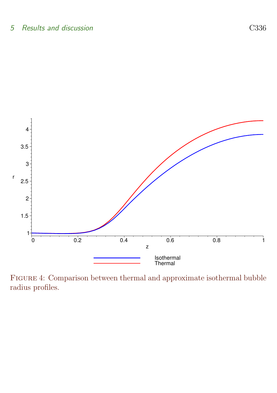

<span id="page-11-0"></span>Figure 4: Comparison between thermal and approximate isothermal bubble radius profiles.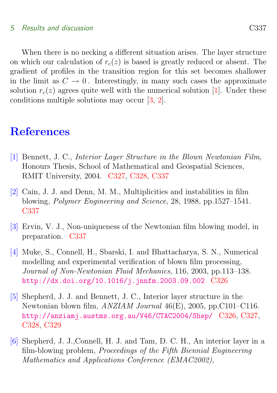### <span id="page-12-7"></span>5 Results and discussion C337

When there is no necking a different situation arises. The layer structure on which our calculation of  $r_c(z)$  is based is greatly reduced or absent. The gradient of profiles in the transition region for this set becomes shallower in the limit as  $C \to 0$ . Interestingly, in many such cases the approximate solution  $r_c(z)$  agrees quite well with the numerical solution [\[1\]](#page-12-3). Under these conditions multiple solutions may occur [\[3,](#page-12-5) [2\]](#page-12-6).

## **References**

- <span id="page-12-3"></span><span id="page-12-0"></span>[1] Bennett, J. C., Interior Layer Structure in the Blown Newtonian Film, Honours Thesis, School of Mathematical and Geospatial Sciences, RMIT University, 2004. [C327,](#page-2-2) [C328,](#page-3-2) [C337](#page-12-7)
- <span id="page-12-6"></span>[2] Cain, J. J. and Denn, M. M., Multiplicities and instabilities in film blowing, Polymer Engineering and Science, 28, 1988, pp.1527–1541. [C337](#page-12-7)
- <span id="page-12-5"></span>[3] Ervin, V. J., Non-uniqueness of the Newtonian film blowing model, in preparation. [C337](#page-12-7)
- <span id="page-12-1"></span>[4] Muke, S., Connell, H., Sbarski, I. and Bhattacharya, S. N., Numerical modelling and experimental verification of blown film processing, Journal of Non-Newtonian Fluid Mechanics, 116, 2003, pp.113–138. <http://dx.doi.org/10.1016/j.jnnfm.2003.09.002> [C326](#page-1-1)
- <span id="page-12-2"></span>[5] Shepherd, J. J. and Bennett, J. C., Interior layer structure in the Newtonian blown film, ANZIAM Journal 46(E), 2005, pp.C101–C116. <http://anziamj.austms.org.au/V46/CTAC2004/Shep/> [C326,](#page-1-1) [C327,](#page-2-2) [C328,](#page-3-2) [C329](#page-4-0)
- <span id="page-12-4"></span>[6] Shepherd, J. J.,Connell, H. J. and Tam, D. C. H., An interior layer in a film-blowing problem, Proceedings of the Fifth Biennial Engineering Mathematics and Applications Conference (EMAC2002),